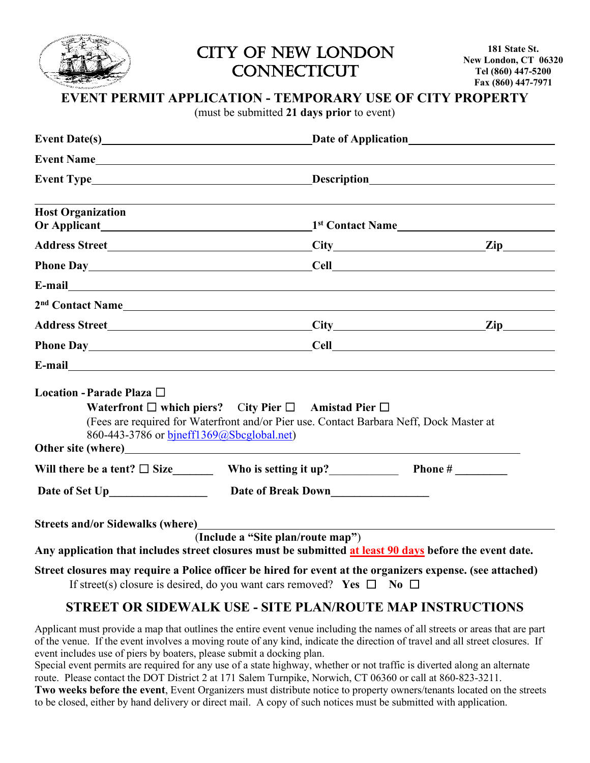

CITY OF NEW LONDON **CONNECTICUT** 

**181 State St. New London, CT 06320 Tel (860) 447-5200 Fax (860) 447-7971**

#### **EVENT PERMIT APPLICATION - TEMPORARY USE OF CITY PROPERTY**

(must be submitted **21 days prior** to event)

|                                                                        |                                                                                                                                                                | Event Type Description                                                                                                                                                                                                         |  |  |
|------------------------------------------------------------------------|----------------------------------------------------------------------------------------------------------------------------------------------------------------|--------------------------------------------------------------------------------------------------------------------------------------------------------------------------------------------------------------------------------|--|--|
| <b>Host Organization</b>                                               |                                                                                                                                                                | <u> 1989 - Johann Stoff, deutscher Stoff, der Stoff, der Stoff, der Stoff, der Stoff, der Stoff, der Stoff, der S</u>                                                                                                          |  |  |
|                                                                        |                                                                                                                                                                |                                                                                                                                                                                                                                |  |  |
|                                                                        |                                                                                                                                                                |                                                                                                                                                                                                                                |  |  |
|                                                                        |                                                                                                                                                                | Phone Day Cell Cell Communications and Cell Cell Cell Communications are not been assumed by the contract of the contract of the contract of the contract of the contract of the contract of the contract of the contract of t |  |  |
|                                                                        |                                                                                                                                                                |                                                                                                                                                                                                                                |  |  |
|                                                                        |                                                                                                                                                                |                                                                                                                                                                                                                                |  |  |
|                                                                        |                                                                                                                                                                |                                                                                                                                                                                                                                |  |  |
|                                                                        |                                                                                                                                                                | Phone Day Cell Cell Contract to the Cell Cell Cell Contract of the Cell Cell Contract of the Cell Cell Contract of the Cell Cell Contract of the Cell Contract of the Cell Cell Contract of the Cell Contract of the Cell Cont |  |  |
|                                                                        |                                                                                                                                                                |                                                                                                                                                                                                                                |  |  |
| Location - Parade Plaza □<br>860-443-3786 or bjneff1369@Sbcglobal.net) | Waterfront $\Box$ which piers? City Pier $\Box$ Amistad Pier $\Box$<br>(Fees are required for Waterfront and/or Pier use. Contact Barbara Neff, Dock Master at |                                                                                                                                                                                                                                |  |  |
|                                                                        |                                                                                                                                                                |                                                                                                                                                                                                                                |  |  |
|                                                                        |                                                                                                                                                                |                                                                                                                                                                                                                                |  |  |
| <b>Streets and/or Sidewalks (where)</b>                                |                                                                                                                                                                | <u> 1980 - Johann Barn, mars ann an t-Amhain Aonaich an t-Aonaich an t-Aonaich ann an t-Aonaich ann an t-Aonaich</u>                                                                                                           |  |  |
|                                                                        | (Include a "Site plan/route map")                                                                                                                              | Any application that includes street closures must be submitted at least 90 days before the event date.                                                                                                                        |  |  |
|                                                                        | If street(s) closure is desired, do you want cars removed? Yes $\Box$ No $\Box$                                                                                | Street closures may require a Police officer be hired for event at the organizers expense. (see attached)                                                                                                                      |  |  |
|                                                                        |                                                                                                                                                                | STREET OR SIDEWALK USE - SITE PLAN/ROUTE MAP INSTRUCTIONS                                                                                                                                                                      |  |  |

Applicant must provide a map that outlines the entire event venue including the names of all streets or areas that are part of the venue. If the event involves a moving route of any kind, indicate the direction of travel and all street closures. If event includes use of piers by boaters, please submit a docking plan.

Special event permits are required for any use of a state highway, whether or not traffic is diverted along an alternate route. Please contact the DOT District 2 at 171 Salem Turnpike, Norwich, CT 06360 or call at 860-823-3211.

**Two weeks before the event**, Event Organizers must distribute notice to property owners/tenants located on the streets to be closed, either by hand delivery or direct mail. A copy of such notices must be submitted with application.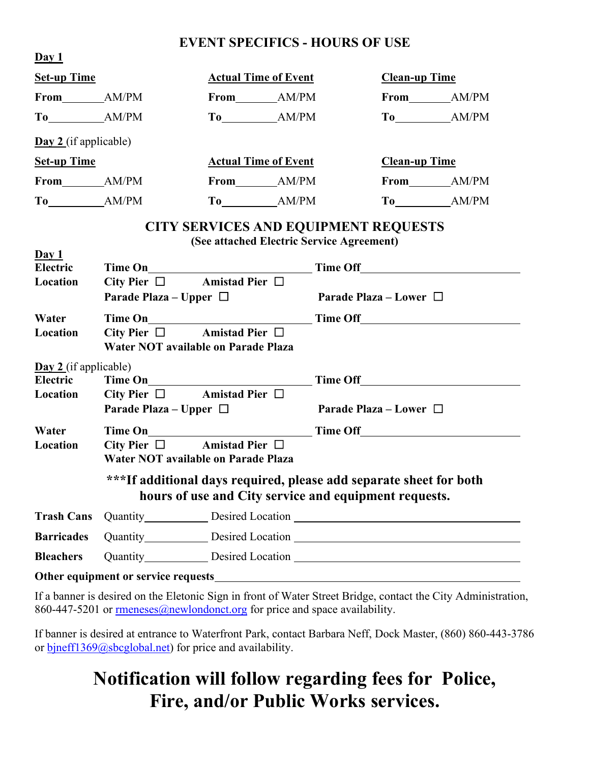## **EVENT SPECIFICS - HOURS OF USE**

| Day 1                                        |                                                                                   |                                                                                                                             |  |                                    |  |
|----------------------------------------------|-----------------------------------------------------------------------------------|-----------------------------------------------------------------------------------------------------------------------------|--|------------------------------------|--|
| <b>Set-up Time</b>                           |                                                                                   | <b>Actual Time of Event</b>                                                                                                 |  | <b>Clean-up Time</b>               |  |
|                                              |                                                                                   |                                                                                                                             |  |                                    |  |
|                                              |                                                                                   |                                                                                                                             |  |                                    |  |
| $\underline{\textbf{Day 2}}$ (if applicable) |                                                                                   |                                                                                                                             |  |                                    |  |
| <b>Set-up Time</b>                           |                                                                                   | <b>Actual Time of Event</b>                                                                                                 |  | <b>Clean-up Time</b>               |  |
|                                              |                                                                                   |                                                                                                                             |  |                                    |  |
|                                              |                                                                                   |                                                                                                                             |  |                                    |  |
|                                              |                                                                                   | <b>CITY SERVICES AND EQUIPMENT REQUESTS</b><br>(See attached Electric Service Agreement)                                    |  |                                    |  |
| Day 1<br>Electric                            |                                                                                   |                                                                                                                             |  |                                    |  |
| Location                                     | City Pier $\square$ Amistad Pier $\square$                                        |                                                                                                                             |  |                                    |  |
|                                              | Parade Plaza – Upper $\Box$                                                       | <b>Parade Plaza – Lower</b> $\Box$                                                                                          |  |                                    |  |
| Water                                        |                                                                                   |                                                                                                                             |  |                                    |  |
| Location                                     | City Pier $\square$ Amistad Pier $\square$                                        |                                                                                                                             |  |                                    |  |
|                                              | Water NOT available on Parade Plaza                                               |                                                                                                                             |  |                                    |  |
| $\underline{\text{Day 2}}$ (if applicable)   |                                                                                   |                                                                                                                             |  |                                    |  |
| Electric                                     |                                                                                   |                                                                                                                             |  |                                    |  |
| Location                                     | City Pier $\square$ Amistad Pier $\square$<br>Parade Plaza – Upper $\Box$         |                                                                                                                             |  | <b>Parade Plaza – Lower</b> $\Box$ |  |
|                                              |                                                                                   |                                                                                                                             |  |                                    |  |
| Water                                        |                                                                                   |                                                                                                                             |  |                                    |  |
| Location                                     | City Pier $\square$ Amistad Pier $\square$<br>Water NOT available on Parade Plaza |                                                                                                                             |  |                                    |  |
|                                              |                                                                                   | ***If additional days required, please add separate sheet for both<br>hours of use and City service and equipment requests. |  |                                    |  |
| <b>Trash Cans</b>                            |                                                                                   | Quantity Desired Location  Number 2014                                                                                      |  |                                    |  |
| <b>Barricades</b>                            |                                                                                   |                                                                                                                             |  |                                    |  |
| <b>Bleachers</b>                             |                                                                                   |                                                                                                                             |  |                                    |  |
|                                              |                                                                                   |                                                                                                                             |  |                                    |  |

If a banner is desired on the Eletonic Sign in front of Water Street Bridge, contact the City Administration, 860-447-5201 or  $\frac{\text{mmeness}(a)\text{new}$  ondonct.org for price and space availability.

If banner is desired at entrance to Waterfront Park, contact Barbara Neff, Dock Master, (860) 860-443-3786 or [bjneff1369@sbcglobal.net\)](mailto:bjneff1369@sbcglobal.net) for price and availability.

## **Notification will follow regarding fees for Police, Fire, and/or Public Works services.**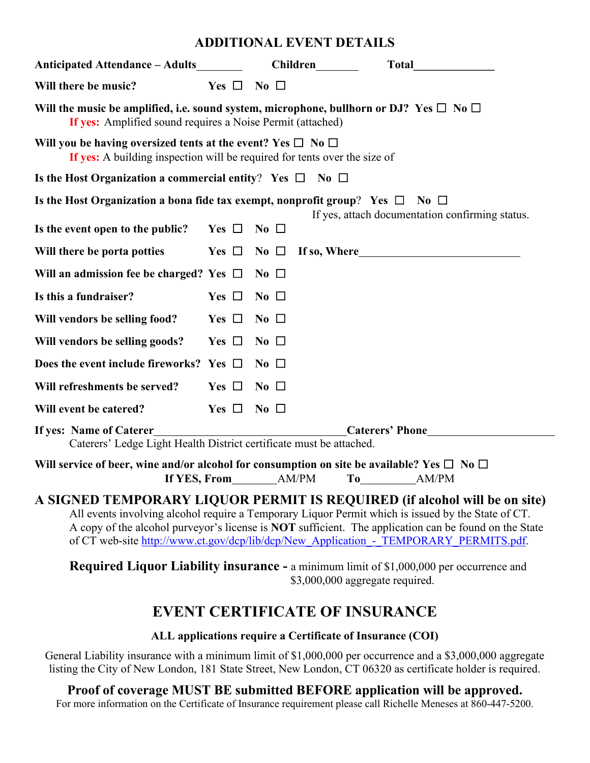#### **ADDITIONAL EVENT DETAILS**

| Anticipated Attendance – Adults                                                                                                                                                                                                                                                                                                                                                   |                      |                         | <b>Children</b> | <b>Total</b>                                                                                                                                                                                                                   |  |  |
|-----------------------------------------------------------------------------------------------------------------------------------------------------------------------------------------------------------------------------------------------------------------------------------------------------------------------------------------------------------------------------------|----------------------|-------------------------|-----------------|--------------------------------------------------------------------------------------------------------------------------------------------------------------------------------------------------------------------------------|--|--|
| Will there be music?                                                                                                                                                                                                                                                                                                                                                              | Yes $\Box$ No $\Box$ |                         |                 |                                                                                                                                                                                                                                |  |  |
| Will the music be amplified, i.e. sound system, microphone, bullhorn or DJ? Yes $\Box$ No $\Box$<br>If yes: Amplified sound requires a Noise Permit (attached)                                                                                                                                                                                                                    |                      |                         |                 |                                                                                                                                                                                                                                |  |  |
| Will you be having oversized tents at the event? Yes $\square$ No $\square$<br>If yes: A building inspection will be required for tents over the size of                                                                                                                                                                                                                          |                      |                         |                 |                                                                                                                                                                                                                                |  |  |
| Is the Host Organization a commercial entity? Yes $\square$ No $\square$                                                                                                                                                                                                                                                                                                          |                      |                         |                 |                                                                                                                                                                                                                                |  |  |
| Is the Host Organization a bona fide tax exempt, nonprofit group? Yes $\Box$ No $\Box$                                                                                                                                                                                                                                                                                            |                      |                         |                 | If yes, attach documentation confirming status.                                                                                                                                                                                |  |  |
| Is the event open to the public?                                                                                                                                                                                                                                                                                                                                                  | Yes $\Box$           | $\overline{N_0}$ $\Box$ |                 |                                                                                                                                                                                                                                |  |  |
| Will there be porta potties                                                                                                                                                                                                                                                                                                                                                       | Yes $\Box$           | No $\Box$               |                 | If so, Where the same state of the state of the state of the state of the state of the state of the state of the state of the state of the state of the state of the state of the state of the state of the state of the state |  |  |
| Will an admission fee be charged? Yes $\Box$                                                                                                                                                                                                                                                                                                                                      |                      | $\bf{No}$ $\Box$        |                 |                                                                                                                                                                                                                                |  |  |
| Is this a fundraiser?                                                                                                                                                                                                                                                                                                                                                             | Yes $\Box$           | $\bf{No}$ $\Box$        |                 |                                                                                                                                                                                                                                |  |  |
| Will vendors be selling food?                                                                                                                                                                                                                                                                                                                                                     | Yes $\Box$           | $\bf{No}$ $\Box$        |                 |                                                                                                                                                                                                                                |  |  |
| Will vendors be selling goods?                                                                                                                                                                                                                                                                                                                                                    | Yes $\Box$           | $\bf{No}$ $\Box$        |                 |                                                                                                                                                                                                                                |  |  |
| Does the event include fireworks? Yes $\Box$                                                                                                                                                                                                                                                                                                                                      |                      | $\bf{No}$ $\Box$        |                 |                                                                                                                                                                                                                                |  |  |
| Will refreshments be served?                                                                                                                                                                                                                                                                                                                                                      | Yes $\Box$           | $\bf{No}$ $\Box$        |                 |                                                                                                                                                                                                                                |  |  |
| Will event be catered?                                                                                                                                                                                                                                                                                                                                                            | Yes $\Box$           | $\bf{No}$ $\Box$        |                 |                                                                                                                                                                                                                                |  |  |
| Caterers' Phone<br>If yes: Name of Caterer<br>Caterers' Ledge Light Health District certificate must be attached.                                                                                                                                                                                                                                                                 |                      |                         |                 |                                                                                                                                                                                                                                |  |  |
| Will service of beer, wine and/or alcohol for consumption on site be available? Yes $\square$ No $\square$<br>If YES, From<br>AM/PM<br>AM/PM<br>To the contract of the contract of the contract of the contract of the contract of the contract of the contract of the contract of the contract of the contract of the contract of the contract of the contract of the contrac    |                      |                         |                 |                                                                                                                                                                                                                                |  |  |
| A SIGNED TEMPORARY LIQUOR PERMIT IS REQUIRED (if alcohol will be on site)<br>All events involving alcohol require a Temporary Liquor Permit which is issued by the State of CT.<br>A copy of the alcohol purveyor's license is NOT sufficient. The application can be found on the State<br>of CT web-site http://www.ct.gov/dcp/lib/dcp/New Application - TEMPORARY PERMITS.pdf. |                      |                         |                 |                                                                                                                                                                                                                                |  |  |
|                                                                                                                                                                                                                                                                                                                                                                                   |                      |                         |                 | <b>Required Liquor Liability insurance - a minimum limit of \$1,000,000 per occurrence and</b><br>\$3,000,000 aggregate required.                                                                                              |  |  |
| <b>EVENT CERTIFICATE OF INSURANCE</b>                                                                                                                                                                                                                                                                                                                                             |                      |                         |                 |                                                                                                                                                                                                                                |  |  |
| ALL applications require a Certificate of Insurance (COI)                                                                                                                                                                                                                                                                                                                         |                      |                         |                 |                                                                                                                                                                                                                                |  |  |

General Liability insurance with a minimum limit of \$1,000,000 per occurrence and a \$3,000,000 aggregate listing the City of New London, 181 State Street, New London, CT 06320 as certificate holder is required.

### **Proof of coverage MUST BE submitted BEFORE application will be approved.**

For more information on the Certificate of Insurance requirement please call Richelle Meneses at 860-447-5200.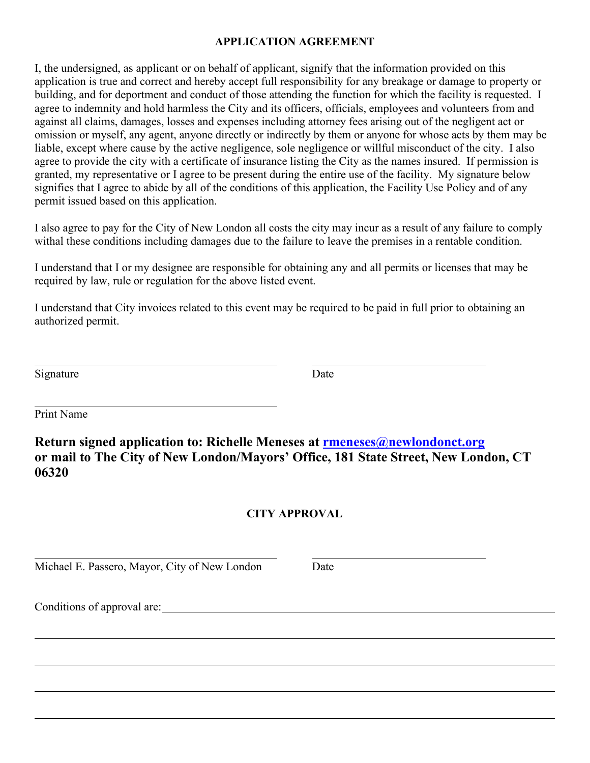#### **APPLICATION AGREEMENT**

I, the undersigned, as applicant or on behalf of applicant, signify that the information provided on this application is true and correct and hereby accept full responsibility for any breakage or damage to property or building, and for deportment and conduct of those attending the function for which the facility is requested. I agree to indemnity and hold harmless the City and its officers, officials, employees and volunteers from and against all claims, damages, losses and expenses including attorney fees arising out of the negligent act or omission or myself, any agent, anyone directly or indirectly by them or anyone for whose acts by them may be liable, except where cause by the active negligence, sole negligence or willful misconduct of the city. I also agree to provide the city with a certificate of insurance listing the City as the names insured. If permission is granted, my representative or I agree to be present during the entire use of the facility. My signature below signifies that I agree to abide by all of the conditions of this application, the Facility Use Policy and of any permit issued based on this application.

I also agree to pay for the City of New London all costs the city may incur as a result of any failure to comply withal these conditions including damages due to the failure to leave the premises in a rentable condition.

I understand that I or my designee are responsible for obtaining any and all permits or licenses that may be required by law, rule or regulation for the above listed event.

I understand that City invoices related to this event may be required to be paid in full prior to obtaining an authorized permit.

Signature Date

Print Name

**Return signed application to: Richelle Meneses at [rmeneses@n](mailto:rmeneses@)ewlondonct.org or mail to The City of New London/Mayors' Office, 181 State Street, New London, CT 06320**

#### **CITY APPROVAL**

Michael E. Passero, Mayor, City of New London Date

Conditions of approval are: